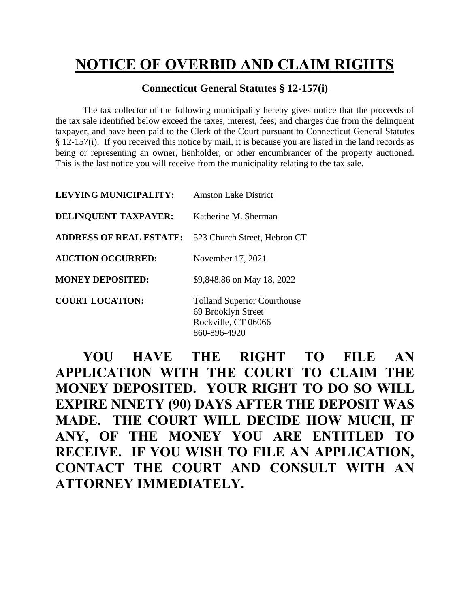## **NOTICE OF OVERBID AND CLAIM RIGHTS**

## **Connecticut General Statutes § 12-157(i)**

The tax collector of the following municipality hereby gives notice that the proceeds of the tax sale identified below exceed the taxes, interest, fees, and charges due from the delinquent taxpayer, and have been paid to the Clerk of the Court pursuant to Connecticut General Statutes § 12-157(i). If you received this notice by mail, it is because you are listed in the land records as being or representing an owner, lienholder, or other encumbrancer of the property auctioned. This is the last notice you will receive from the municipality relating to the tax sale.

| <b>LEVYING MUNICIPALITY:</b>   | <b>Amston Lake District</b>                                                                     |
|--------------------------------|-------------------------------------------------------------------------------------------------|
| DELINQUENT TAXPAYER:           | Katherine M. Sherman                                                                            |
| <b>ADDRESS OF REAL ESTATE:</b> | 523 Church Street, Hebron CT                                                                    |
| <b>AUCTION OCCURRED:</b>       | November 17, 2021                                                                               |
| <b>MONEY DEPOSITED:</b>        | \$9,848.86 on May 18, 2022                                                                      |
| <b>COURT LOCATION:</b>         | <b>Tolland Superior Courthouse</b><br>69 Brooklyn Street<br>Rockville, CT 06066<br>860-896-4920 |

**YOU HAVE THE RIGHT TO FILE AN APPLICATION WITH THE COURT TO CLAIM THE MONEY DEPOSITED. YOUR RIGHT TO DO SO WILL EXPIRE NINETY (90) DAYS AFTER THE DEPOSIT WAS MADE. THE COURT WILL DECIDE HOW MUCH, IF ANY, OF THE MONEY YOU ARE ENTITLED TO RECEIVE. IF YOU WISH TO FILE AN APPLICATION, CONTACT THE COURT AND CONSULT WITH AN ATTORNEY IMMEDIATELY.**